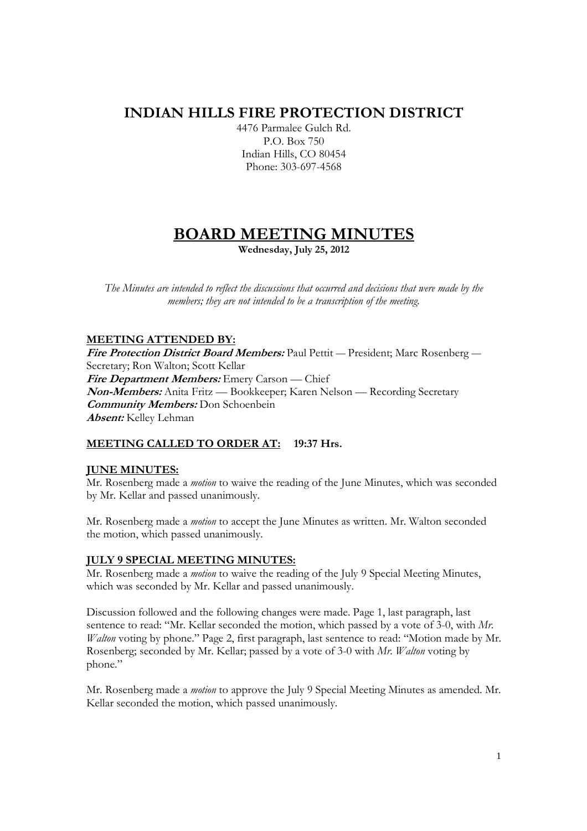## **INDIAN HILLS FIRE PROTECTION DISTRICT**

4476 Parmalee Gulch Rd. P.O. Box 750 Indian Hills, CO 80454 Phone: 303-697-4568

# **BOARD MEETING MINUTES**

**Wednesday, July 25, 2012** 

*The Minutes are intended to reflect the discussions that occurred and decisions that were made by the members; they are not intended to be a transcription of the meeting.* 

## **MEETING ATTENDED BY:**

**Fire Protection District Board Members:** Paul Pettit — President; Marc Rosenberg — Secretary; Ron Walton; Scott Kellar **Fire Department Members:** Emery Carson — Chief **Non-Members:** Anita Fritz — Bookkeeper; Karen Nelson — Recording Secretary **Community Members:** Don Schoenbein **Absent:** Kelley Lehman

## **MEETING CALLED TO ORDER AT: 19:37 Hrs.**

## **JUNE MINUTES:**

Mr. Rosenberg made a *motion* to waive the reading of the June Minutes, which was seconded by Mr. Kellar and passed unanimously.

Mr. Rosenberg made a *motion* to accept the June Minutes as written. Mr. Walton seconded the motion, which passed unanimously.

## **JULY 9 SPECIAL MEETING MINUTES:**

Mr. Rosenberg made a *motion* to waive the reading of the July 9 Special Meeting Minutes, which was seconded by Mr. Kellar and passed unanimously.

Discussion followed and the following changes were made. Page 1, last paragraph, last sentence to read: "Mr. Kellar seconded the motion, which passed by a vote of 3-0, with *Mr. Walton* voting by phone." Page 2, first paragraph, last sentence to read: "Motion made by Mr. Rosenberg; seconded by Mr. Kellar; passed by a vote of 3-0 with *Mr. Walton* voting by phone."

Mr. Rosenberg made a *motion* to approve the July 9 Special Meeting Minutes as amended. Mr. Kellar seconded the motion, which passed unanimously.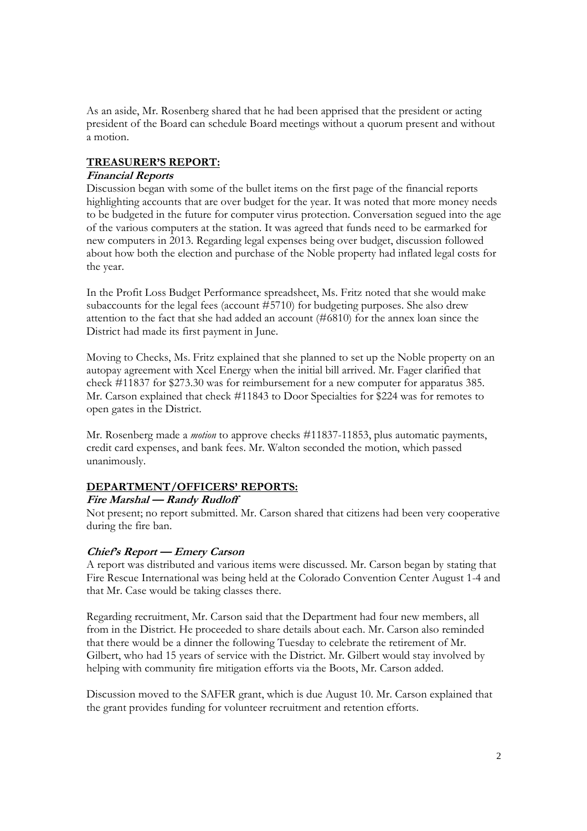As an aside, Mr. Rosenberg shared that he had been apprised that the president or acting president of the Board can schedule Board meetings without a quorum present and without a motion.

## **TREASURER'S REPORT:**

#### **Financial Reports**

Discussion began with some of the bullet items on the first page of the financial reports highlighting accounts that are over budget for the year. It was noted that more money needs to be budgeted in the future for computer virus protection. Conversation segued into the age of the various computers at the station. It was agreed that funds need to be earmarked for new computers in 2013. Regarding legal expenses being over budget, discussion followed about how both the election and purchase of the Noble property had inflated legal costs for the year.

In the Profit Loss Budget Performance spreadsheet, Ms. Fritz noted that she would make subaccounts for the legal fees (account #5710) for budgeting purposes. She also drew attention to the fact that she had added an account (#6810) for the annex loan since the District had made its first payment in June.

Moving to Checks, Ms. Fritz explained that she planned to set up the Noble property on an autopay agreement with Xcel Energy when the initial bill arrived. Mr. Fager clarified that check #11837 for \$273.30 was for reimbursement for a new computer for apparatus 385. Mr. Carson explained that check #11843 to Door Specialties for \$224 was for remotes to open gates in the District.

Mr. Rosenberg made a *motion* to approve checks #11837-11853, plus automatic payments, credit card expenses, and bank fees. Mr. Walton seconded the motion, which passed unanimously.

## **DEPARTMENT/OFFICERS' REPORTS:**

## **Fire Marshal — Randy Rudloff**

Not present; no report submitted. Mr. Carson shared that citizens had been very cooperative during the fire ban.

## **Chief's Report — Emery Carson**

A report was distributed and various items were discussed. Mr. Carson began by stating that Fire Rescue International was being held at the Colorado Convention Center August 1-4 and that Mr. Case would be taking classes there.

Regarding recruitment, Mr. Carson said that the Department had four new members, all from in the District. He proceeded to share details about each. Mr. Carson also reminded that there would be a dinner the following Tuesday to celebrate the retirement of Mr. Gilbert, who had 15 years of service with the District. Mr. Gilbert would stay involved by helping with community fire mitigation efforts via the Boots, Mr. Carson added.

Discussion moved to the SAFER grant, which is due August 10. Mr. Carson explained that the grant provides funding for volunteer recruitment and retention efforts.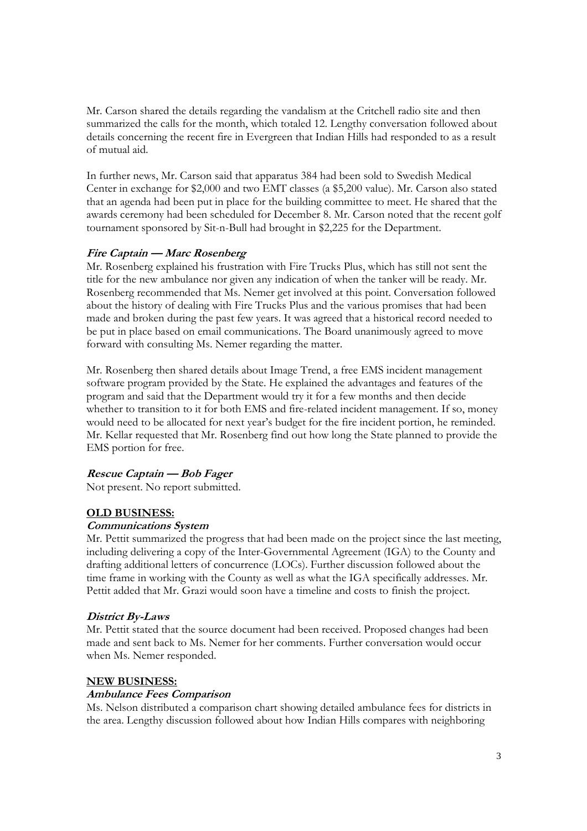Mr. Carson shared the details regarding the vandalism at the Critchell radio site and then summarized the calls for the month, which totaled 12. Lengthy conversation followed about details concerning the recent fire in Evergreen that Indian Hills had responded to as a result of mutual aid.

In further news, Mr. Carson said that apparatus 384 had been sold to Swedish Medical Center in exchange for \$2,000 and two EMT classes (a \$5,200 value). Mr. Carson also stated that an agenda had been put in place for the building committee to meet. He shared that the awards ceremony had been scheduled for December 8. Mr. Carson noted that the recent golf tournament sponsored by Sit-n-Bull had brought in \$2,225 for the Department.

#### **Fire Captain — Marc Rosenberg**

Mr. Rosenberg explained his frustration with Fire Trucks Plus, which has still not sent the title for the new ambulance nor given any indication of when the tanker will be ready. Mr. Rosenberg recommended that Ms. Nemer get involved at this point. Conversation followed about the history of dealing with Fire Trucks Plus and the various promises that had been made and broken during the past few years. It was agreed that a historical record needed to be put in place based on email communications. The Board unanimously agreed to move forward with consulting Ms. Nemer regarding the matter.

Mr. Rosenberg then shared details about Image Trend, a free EMS incident management software program provided by the State. He explained the advantages and features of the program and said that the Department would try it for a few months and then decide whether to transition to it for both EMS and fire-related incident management. If so, money would need to be allocated for next year's budget for the fire incident portion, he reminded. Mr. Kellar requested that Mr. Rosenberg find out how long the State planned to provide the EMS portion for free.

## **Rescue Captain — Bob Fager**

Not present. No report submitted.

## **OLD BUSINESS:**

#### **Communications System**

Mr. Pettit summarized the progress that had been made on the project since the last meeting, including delivering a copy of the Inter-Governmental Agreement (IGA) to the County and drafting additional letters of concurrence (LOCs). Further discussion followed about the time frame in working with the County as well as what the IGA specifically addresses. Mr. Pettit added that Mr. Grazi would soon have a timeline and costs to finish the project.

#### **District By-Laws**

Mr. Pettit stated that the source document had been received. Proposed changes had been made and sent back to Ms. Nemer for her comments. Further conversation would occur when Ms. Nemer responded.

#### **NEW BUSINESS:**

#### **Ambulance Fees Comparison**

Ms. Nelson distributed a comparison chart showing detailed ambulance fees for districts in the area. Lengthy discussion followed about how Indian Hills compares with neighboring